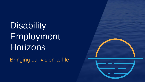**Disability** Employment **Horizons** 

Bringing our vision to life



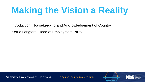# **Making the Vision a Reality**

Introduction, Housekeeping and Acknowledgement of Country Kerrie Langford, Head of Employment, NDS

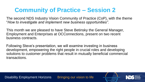### **Community of Practice – Session 2**

The second NDS Industry Vision Community of Practice (CoP), with the theme "*How to investigate and implement new business opportunities".*

This month we are pleased to have Steve Betinsky the General Manager, Employment and Enterprises at OCConnections, present on two recent business contracts.

Following Steve's presentation, we will examine investing in business development, empowering the right people in crucial roles and developing solutions to customer problems that result in mutually beneficial commercial transactions.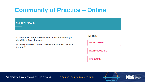## **Community of Practice – Online**

#### **VISION WEBINARS**

NDS has commenced running a series of webinars for members on operationalising our Industry Vision for Supported Employment.

Link to Powerpoint slideshow - Community of Practice 29 September 2021 - Making the **Vision a Reality** 

#### **LEARN MORE**

**BUYABILITY IMPACT TOOL** 

**BUYABILITY SUCCESS STORIES** 

**SHARE YOUR STORY** 

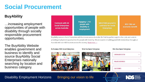### **Social Procurement**

### **BuyAbility**

…increasing employment opportunities of people with disability through socially responsible procurement opportunities.

The BuyAbility Website enables government and business to identify and source BuyAbility Social Enterprises nationally searching by location and business category.

Engaging 1,725 \$40.016M secured in **Contracts with 64** people with \$35.13M net **Social Enterprises** contracts for Social disability in economic benefit across Australia **Enterprises** employment

BuyAbility connects Social Enterprises with businesses across Australia. We find the perfect suppliers for a job, and assist in providing employment opportunities for people with disability. We are experts in building great B2B relationships throughout Australia with over 600 locations across the country. Read more  $\rightarrow$ 

Do Business With Social Enterprises

#### **What Are Social Enterprises**





#### **Who Uses Social Enterprises**

| <b>GOVERNMENT SECTOR</b>   |  |
|----------------------------|--|
| <b>PRIVATE ENTERPRISES</b> |  |
| <b>CASE STUDIES</b>        |  |

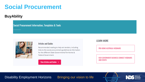### **Social Procurement**

#### **BuyAbility**

**Social Procurement Information, Templates & Tools** 



#### **Articles and Guides**

Recommended reading to help win tenders, including links to the social procurement guidelines & information for the different State Governments/Territories & Federal Government.

View Articles and Guides >

#### **LEARN MORE**

**PRO-BONO AUSTRALIA WEBINARS** 

NSW GOVERNMENT BUSINESS CONNECT WEBINARS **AND EVENTS** 

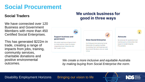### **Social Procurement**

#### **Social Traders**

We have connected over 120 Business and Government Members with more than 450 Certified Social Enterprises.

This has generated \$222m in trade, creating a range of impacts from jobs, training, community services, charitable donations and positive environmental outcomes.

### We unlock business for good in three ways



*We create a more inclusive and equitable Australia by making buying from Social Enterprise the norm.*

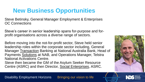## **New Business Opportunities**

Steve Betinsky, General Manager Employment & Enterprises OC Connections

Steve's career in senior leadership spans for-purpose and forprofit organisations across a diverse range of sectors.

Before moving into the not-for-profit sector, Steve held senior leadership roles within the corporate sector including, General Manager Transaction Banking at National Australia Bank, Head of Payments Solutions at NAB, and Operations Manager, Telstra National Activations Centre.

Steve then became the GM of the Asylum Seeker Resource Centre (ASRC) and then Director, Social Enterprises, ASRC.



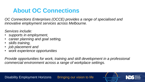### **About OC Connections**

*OC Connections Enterprises (OCCE) provides a range of specialised and innovative employment services across Melbourne.*

*Services include:*

- *supports in employment,*
- *career planning and goal setting,*
- *skills training,*
- *job placement and*
- *work experience opportunities*

*Provide opportunities for work, training and skill development in a professional commercial environment across a range of workplace settings.*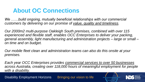### **About OC Connections**

We ......build ongoing, mutually beneficial relationships with our commercial *customers by delivering on our promise of value, quality and timeliness.*

*Our 2000m2 multi-purpose Oakleigh South premises, combined with over 115 experienced and flexible staff, enables OCC Enterprises to deliver your packing, general assembly, light manufacturing and administration projects – large or small – on time and on budget.* 

*Our mobile fleet clean and administration teams can also do this onsite at your premises.*

*Each year OCC Enterprises provides commercial services to over 50 businesses across Australia, creating over 118,000 hours of meaningful employment for people with a disability.*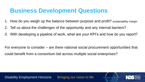### **Business Development Questions**

- 1. How do you weigh up the balance between purpose and profit? sustainability margin
- 2. Tell us about the challenges of the opportunity and any internal barriers?
- 3. With developing a pipeline of work, what are your KPI's and how do you report?

For everyone to consider – are there national social procurement opportunities that could benefit from a consortium bid across multiple social enterprises?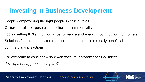### **Investing in Business Development**

People - empowering the right people in crucial roles

Culture - profit, purpose plus a culture of commerciality

Tools - setting KPI's, monitoring performance and enabling contribution from others

Solutions focused - to customer problems that result in mutually beneficial

commercial transactions

For everyone to consider – *how well does your organisations business development approach compare?*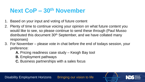## **Next CoP – 30th November**

- 1. Based on your input and voting of future content
- 2. Plenty of time to continue voicing your opinion on what future content you would like to see, so please continue to send these through (Paul Musso distributed this document 30<sup>th</sup> September, and we have collated many responses)
- 3. For November please vote in chat before the end of todays session, your preference:
	- **A.** Pricing readiness case study Keogh Bay tool
	- **B.** Employment pathways
	- **C.** Business partnerships with a sales focus